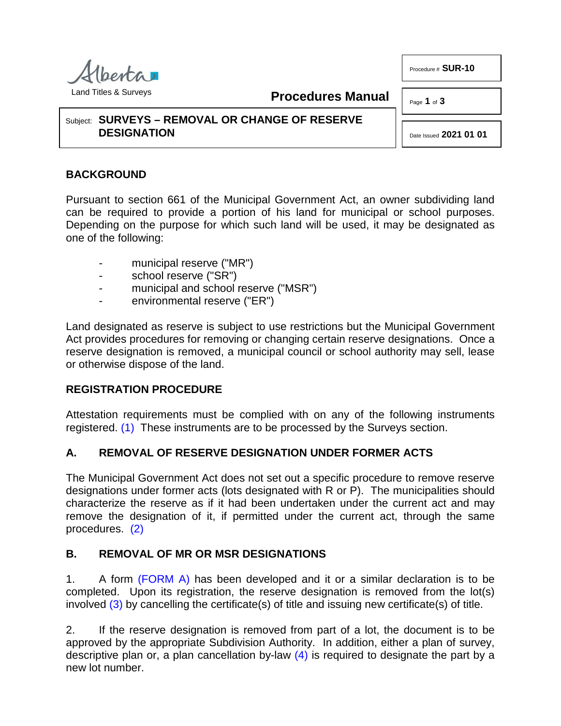

**Procedures Manual**

Procedure # **SUR-10**

Subject: **SURVEYS – REMOVAL OR CHANGE OF RESERVE DESIGNATION**

Page **1** of **3**

Date Issued **2021 01 01**

#### **BACKGROUND**

Pursuant to section 661 of the Municipal Government Act, an owner subdividing land can be required to provide a portion of his land for municipal or school purposes. Depending on the purpose for which such land will be used, it may be designated as one of the following:

- municipal reserve ("MR")
- school reserve ("SR")
- municipal and school reserve ("MSR")
- environmental reserve ("ER")

Land designated as reserve is subject to use restrictions but the Municipal Government Act provides procedures for removing or changing certain reserve designations. Once a reserve designation is removed, a municipal council or school authority may sell, lease or otherwise dispose of the land.

#### **REGISTRATION PROCEDURE**

<span id="page-0-0"></span>Attestation requirements must be complied with on any of the following instruments registered. [\(1\)](#page-2-0) These instruments are to be processed by the Surveys section.

#### **A. REMOVAL OF RESERVE DESIGNATION UNDER FORMER ACTS**

The Municipal Government Act does not set out a specific procedure to remove reserve designations under former acts (lots designated with R or P). The municipalities should characterize the reserve as if it had been undertaken under the current act and may remove the designation of it, if permitted under the current act, through the same procedures. [\(2\)](#page-2-1)

## <span id="page-0-1"></span>**B. REMOVAL OF MR OR MSR DESIGNATIONS**

<span id="page-0-2"></span>1. A form [\(FORM A\)](http://www.servicealberta.ca/pdf/ltmanual/SUR-10-FORMA.PDF) has been developed and it or a similar declaration is to be completed. Upon its registration, the reserve designation is removed from the lot(s) involved [\(3\)](#page-2-2) by cancelling the certificate(s) of title and issuing new certificate(s) of title.

<span id="page-0-3"></span>2. If the reserve designation is removed from part of a lot, the document is to be approved by the appropriate Subdivision Authority. In addition, either a plan of survey, descriptive plan or, a plan cancellation by-law  $(4)$  is required to designate the part by a new lot number.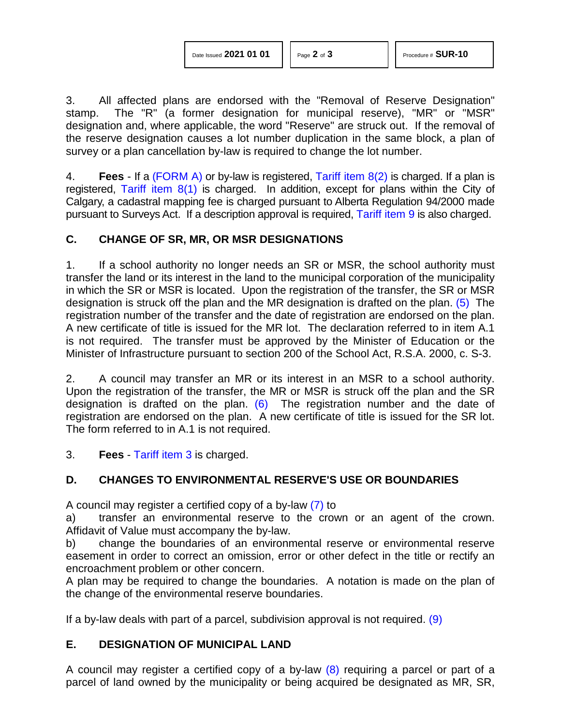| Date Issued 2021 01 01 |  |  |  |
|------------------------|--|--|--|
|------------------------|--|--|--|

<span id="page-1-0"></span>

3. All affected plans are endorsed with the "Removal of Reserve Designation" stamp. The "R" (a former designation for municipal reserve), "MR" or "MSR" designation and, where applicable, the word "Reserve" are struck out. If the removal of the reserve designation causes a lot number duplication in the same block, a plan of survey or a plan cancellation by-law is required to change the lot number.

4. **Fees** - If a [\(FORM A\)](http://www.servicealberta.ca/pdf/ltmanual/SUR-10-FORMA.PDF) or by-law is registered, [Tariff item 8\(2\)](http://www.servicealberta.ca/pdf/ltmanual/APPENDIXI.PDF) is charged. If a plan is registered, Tariff item  $8(1)$  is charged. In addition, except for plans within the City of Calgary, a cadastral mapping fee is charged pursuant to Alberta Regulation 94/2000 made pursuant to Surveys Act. If a description approval is required, [Tariff item 9](http://www.servicealberta.ca/pdf/ltmanual/APPENDIXI.PDF) is also charged.

## **C. CHANGE OF SR, MR, OR MSR DESIGNATIONS**

1. If a school authority no longer needs an SR or MSR, the school authority must transfer the land or its interest in the land to the municipal corporation of the municipality in which the SR or MSR is located. Upon the registration of the transfer, the SR or MSR designation is struck off the plan and the MR designation is drafted on the plan. [\(5\)](#page-2-4) The registration number of the transfer and the date of registration are endorsed on the plan. A new certificate of title is issued for the MR lot. The declaration referred to in item A.1 is not required. The transfer must be approved by the Minister of Education or the Minister of Infrastructure pursuant to section 200 of the School Act, R.S.A. 2000, c. S-3.

<span id="page-1-1"></span>2. A council may transfer an MR or its interest in an MSR to a school authority. Upon the registration of the transfer, the MR or MSR is struck off the plan and the SR designation is drafted on the plan. [\(6\)](#page-2-5) The registration number and the date of registration are endorsed on the plan. A new certificate of title is issued for the SR lot. The form referred to in A.1 is not required.

3. **Fees** - [Tariff item 3](http://www.servicealberta.ca/pdf/ltmanual/APPENDIXI.PDF) is charged.

# **D. CHANGES TO ENVIRONMENTAL RESERVE'S USE OR BOUNDARIES**

<span id="page-1-2"></span>A council may register a certified copy of a by-law [\(7\)](#page-2-6) to

a) transfer an environmental reserve to the crown or an agent of the crown. Affidavit of Value must accompany the by-law.

b) change the boundaries of an environmental reserve or environmental reserve easement in order to correct an omission, error or other defect in the title or rectify an encroachment problem or other concern.

A plan may be required to change the boundaries. A notation is made on the plan of the change of the environmental reserve boundaries.

If a by-law deals with part of a parcel, subdivision approval is not required.  $(9)$ 

## **E. DESIGNATION OF MUNICIPAL LAND**

<span id="page-1-3"></span>A council may register a certified copy of a by-law  $(8)$  requiring a parcel or part of a parcel of land owned by the municipality or being acquired be designated as MR, SR,